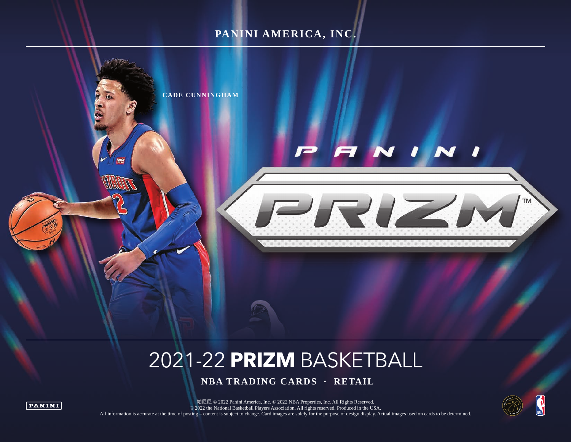## **PANINI AMERICA, INC.**



# 2021-22 **PRIZM** BASKETBALL

 **NBA TRADING CARDS · RETAIL**





■帕尼尼 © 2022 Panini America, Inc. © 2022 NBA Properties, Inc. All Rights Reserved. © 2022 the National Basketball Players Association. All rights reserved. Produced in the USA. All information is accurate at the time of posting – content is subject to change. Card images are solely for the purpose of design display. Actual images used on cards to be determined.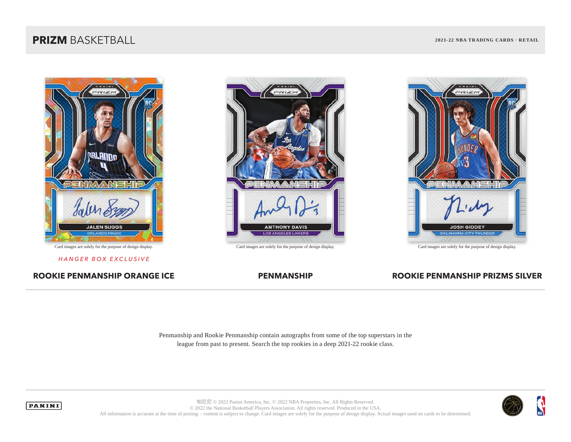

*HANGER BOX EXCLUSIVE*

ROOKIE PENMANSHIP ORANGE ICE **PENMANSHIP ROOKIE PENMANSHIP PRIZMS** SILVER





Penmanship and Rookie Penmanship contain autographs from some of the top superstars in the league from past to present. Search the top rookies in a deep 2021-22 rookie class.





帕尼尼 © 2022 Panini America, Inc. © 2022 NBA Properties, Inc. All Rights Reserved. © 2022 the National Basketball Players Association. All rights reserved. Produced in the USA. All information is accurate at the time of posting – content is subject to change. Card images are solely for the purpose of design display. Actual images used on cards to be determined.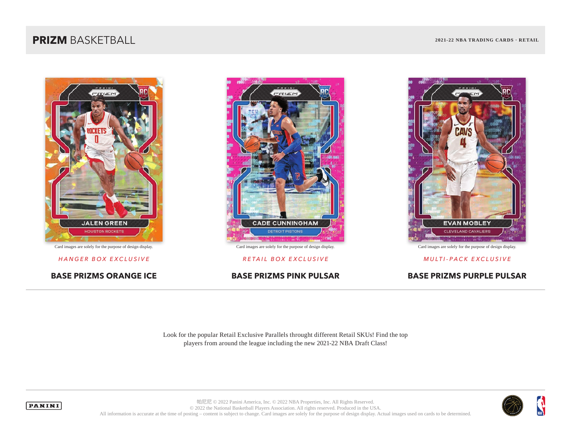



Card images are solely for the purpose of design display. Card images are solely for the purpose of design display. Card images are solely for the purpose of design display.



*HANGER BOX EXCLUSIVE RETAIL BOX EXCLUSIVE MULTI-PACK EXCLUSIVE*

### **BASE PRIZMS ORANGE ICE BASE PRIZMS PINK PULSAR BASE PRIZMS PURPLE PULSAR**

Look for the popular Retail Exclusive Parallels throught different Retail SKUs! Find the top players from around the league including the new 2021-22 NBA Draft Class!



 $\mathbf{\hat{y}}$ 



帕尼尼 © 2022 Panini America, Inc. © 2022 NBA Properties, Inc. All Rights Reserved. © 2022 the National Basketball Players Association. All rights reserved. Produced in the USA. All information is accurate at the time of posting – content is subject to change. Card images are solely for the purpose of design display. Actual images used on cards to be determined.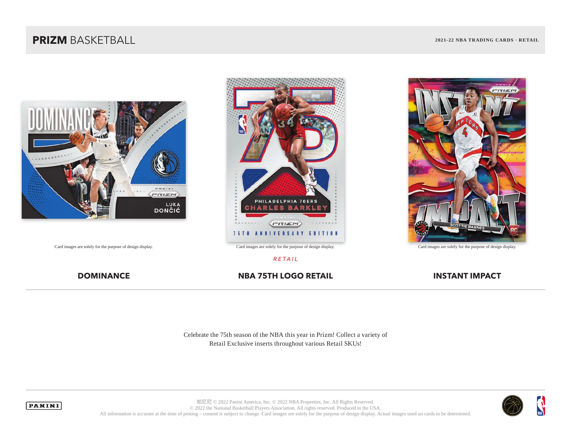





### *RETAIL*

### **DOMINANCE NBA 75TH LOGO RETAIL NBA 75TH LOGO RETAIL**

Celebrate the 75th season of the NBA this year in Prizm! Collect a variety of Retail Exclusive inserts throughout various Retail SKUs!





帕尼尼 © 2022 Panini America, Inc. © 2022 NBA Properties, Inc. All Rights Reserved. © 2022 the National Basketball Players Association. All rights reserved. Produced in the USA. All information is accurate at the time of posting – content is subject to change. Card images are solely for the purpose of design display. Actual images used on cards to be determined.